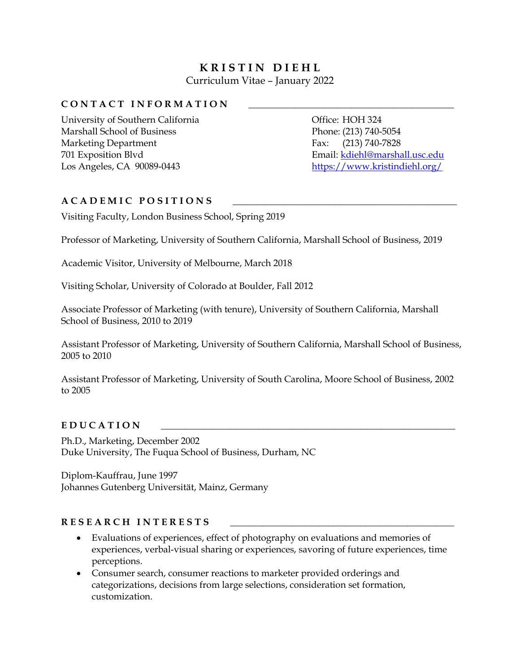# **K R I S T I N D I E H L** Curriculum Vitae – January 2022

# CONTACT INFORMATION

University of Southern California Marshall School of Business Marketing Department 701 Exposition Blvd Los Angeles, CA 90089-0443

Office: HOH 324 Phone: (213) 740-5054 Fax: (213) 740-7828 Email: [kdiehl@marshall.usc.edu](mailto:kdiehl@marshall.usc.edu) <https://www.kristindiehl.org/>

# **A C A D E M I C P O S I T I O N S \_\_\_\_\_\_\_\_\_\_\_\_\_\_\_\_\_\_\_\_\_\_\_\_\_\_\_\_\_\_\_\_\_\_\_\_\_\_\_\_\_\_\_\_\_\_\_\_**

Visiting Faculty, London Business School, Spring 2019

Professor of Marketing, University of Southern California, Marshall School of Business, 2019

Academic Visitor, University of Melbourne, March 2018

Visiting Scholar, University of Colorado at Boulder, Fall 2012

Associate Professor of Marketing (with tenure), University of Southern California, Marshall School of Business, 2010 to 2019

Assistant Professor of Marketing, University of Southern California, Marshall School of Business, 2005 to 2010

Assistant Professor of Marketing, University of South Carolina, Moore School of Business, 2002 to 2005

# E D U C A T I O N

Ph.D., Marketing, December 2002 Duke University, The Fuqua School of Business, Durham, NC

Diplom-Kauffrau, June 1997 Johannes Gutenberg Universität, Mainz, Germany

# RESEARCH INTERESTS

- Evaluations of experiences, effect of photography on evaluations and memories of experiences, verbal-visual sharing or experiences, savoring of future experiences, time perceptions.
- Consumer search, consumer reactions to marketer provided orderings and categorizations, decisions from large selections, consideration set formation, customization.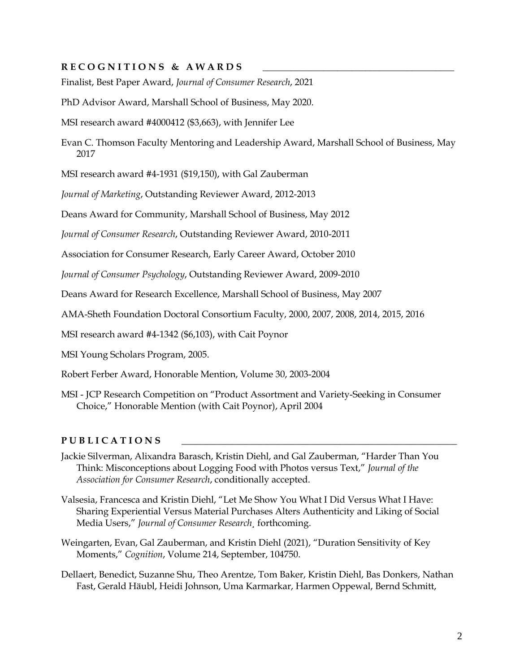# RECOGNITIONS & AWARDS

Finalist, Best Paper Award, *Journal of Consumer Research*, 2021

PhD Advisor Award, Marshall School of Business, May 2020.

MSI research award #4000412 (\$3,663), with Jennifer Lee

Evan C. Thomson Faculty Mentoring and Leadership Award, Marshall School of Business, May 2017

MSI research award #4-1931 (\$19,150), with Gal Zauberman

*Journal of Marketing*, Outstanding Reviewer Award, 2012-2013

Deans Award for Community, Marshall School of Business, May 2012

*Journal of Consumer Research*, Outstanding Reviewer Award, 2010-2011

Association for Consumer Research, Early Career Award, October 2010

*Journal of Consumer Psychology*, Outstanding Reviewer Award, 2009-2010

Deans Award for Research Excellence, Marshall School of Business, May 2007

AMA-Sheth Foundation Doctoral Consortium Faculty, 2000, 2007, 2008, 2014, 2015, 2016

MSI research award #4-1342 (\$6,103), with Cait Poynor

MSI Young Scholars Program, 2005.

Robert Ferber Award, Honorable Mention, Volume 30, 2003-2004

MSI - JCP Research Competition on "Product Assortment and Variety-Seeking in Consumer Choice," Honorable Mention (with Cait Poynor), April 2004

#### P U B L I C A T I O N S

- Jackie Silverman, Alixandra Barasch, Kristin Diehl, and Gal Zauberman, "Harder Than You Think: Misconceptions about Logging Food with Photos versus Text," *Journal of the Association for Consumer Research*, conditionally accepted.
- Valsesia, Francesca and Kristin Diehl, "Let Me Show You What I Did Versus What I Have: Sharing Experiential Versus Material Purchases Alters Authenticity and Liking of Social Media Users," *Journal of Consumer Research¸* forthcoming.
- Weingarten, Evan, Gal Zauberman, and Kristin Diehl (2021), "Duration Sensitivity of Key Moments," *Cognition*, Volume 214, September, 104750.
- Dellaert, Benedict, Suzanne Shu, Theo Arentze, Tom Baker, Kristin Diehl, Bas Donkers, Nathan Fast, Gerald Häubl, Heidi Johnson, Uma Karmarkar, Harmen Oppewal, Bernd Schmitt,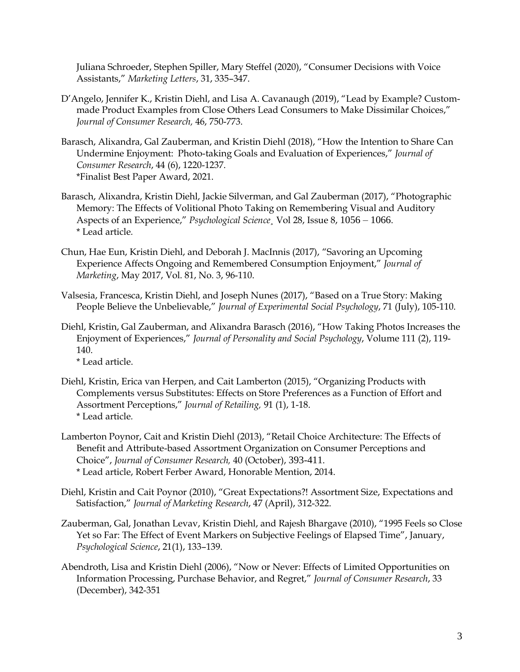Juliana Schroeder, Stephen Spiller, Mary Steffel (2020), "Consumer Decisions with Voice Assistants," *Marketing Letters*, 31, 335–347.

- D'Angelo, Jennifer K., Kristin Diehl, and Lisa A. Cavanaugh (2019), "Lead by Example? Custommade Product Examples from Close Others Lead Consumers to Make Dissimilar Choices," *Journal of Consumer Research,* 46, 750-773.
- Barasch, Alixandra, Gal Zauberman, and Kristin Diehl (2018), "How the Intention to Share Can Undermine Enjoyment: Photo-taking Goals and Evaluation of Experiences," *Journal of Consumer Research*, 44 (6), 1220-1237. \*Finalist Best Paper Award, 2021.
- Barasch, Alixandra, Kristin Diehl, Jackie Silverman, and Gal Zauberman (2017), "Photographic Memory: The Effects of Volitional Photo Taking on Remembering Visual and Auditory Aspects of an Experience," *Psychological Science¸* Vol 28, Issue 8, 1056 – 1066. \* Lead article*.*
- Chun, Hae Eun, Kristin Diehl, and Deborah J. MacInnis (2017), "Savoring an Upcoming Experience Affects Ongoing and Remembered Consumption Enjoyment," *Journal of Marketing*, May 2017, Vol. 81, No. 3, 96-110.
- Valsesia, Francesca, Kristin Diehl, and Joseph Nunes (2017), "Based on a True Story: Making People Believe the Unbelievable," *Journal of Experimental Social Psychology*, 71 (July), 105-110.
- Diehl, Kristin, Gal Zauberman, and Alixandra Barasch (2016), "How Taking Photos Increases the Enjoyment of Experiences," *Journal of Personality and Social Psychology*, Volume 111 (2), 119- 140.

\* Lead article.

- Diehl, Kristin, Erica van Herpen, and Cait Lamberton (2015), "Organizing Products with Complements versus Substitutes: Effects on Store Preferences as a Function of Effort and Assortment Perceptions," *Journal of Retailing,* 91 (1), 1-18. \* Lead article*.*
- Lamberton Poynor, Cait and Kristin Diehl (2013), "Retail Choice Architecture: The Effects of Benefit and Attribute-based Assortment Organization on Consumer Perceptions and Choice", *Journal of Consumer Research,* 40 (October), 393-411. \* Lead article, Robert Ferber Award, Honorable Mention, 2014.
- Diehl, Kristin and Cait Poynor (2010), "Great Expectations?! Assortment Size, Expectations and Satisfaction," *Journal of Marketing Research*, 47 (April), 312-322.
- Zauberman, Gal, Jonathan Levav, Kristin Diehl, and Rajesh Bhargave (2010), "1995 Feels so Close Yet so Far: The Effect of Event Markers on Subjective Feelings of Elapsed Time", January, *Psychological Science*, 21(1), 133–139.
- Abendroth, Lisa and Kristin Diehl (2006), "Now or Never: Effects of Limited Opportunities on Information Processing, Purchase Behavior, and Regret," *Journal of Consumer Research*, 33 (December), 342-351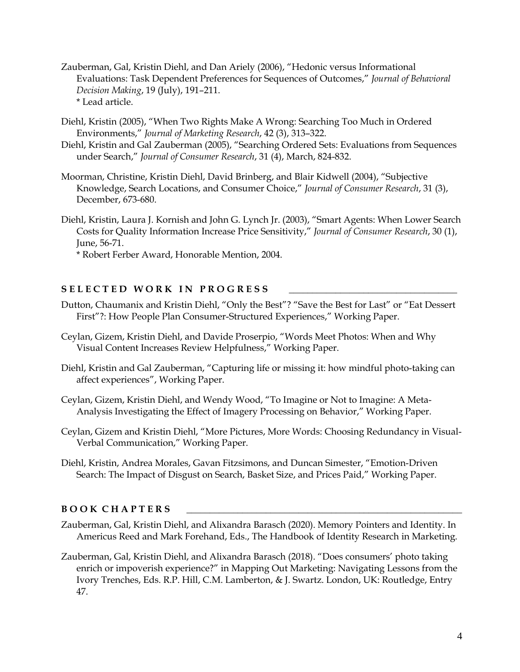- Zauberman, Gal, Kristin Diehl, and Dan Ariely (2006), "Hedonic versus Informational Evaluations: Task Dependent Preferences for Sequences of Outcomes," *Journal of Behavioral Decision Making*, 19 (July), 191–211. \* Lead article.
- Diehl, Kristin (2005), "When Two Rights Make A Wrong: Searching Too Much in Ordered Environments," *Journal of Marketing Research*, 42 (3), 313–322.
- Diehl, Kristin and Gal Zauberman (2005), "Searching Ordered Sets: Evaluations from Sequences under Search," *Journal of Consumer Research*, 31 (4), March, 824-832.
- Moorman, Christine, Kristin Diehl, David Brinberg, and Blair Kidwell (2004), "Subjective Knowledge, Search Locations, and Consumer Choice," *Journal of Consumer Research*, 31 (3), December, 673-680.
- Diehl, Kristin, Laura J. Kornish and John G. Lynch Jr. (2003), "Smart Agents: When Lower Search Costs for Quality Information Increase Price Sensitivity," *Journal of Consumer Research*, 30 (1), June, 56-71.

\* Robert Ferber Award, Honorable Mention, 2004.

# SELECTED WORK IN PROGRESS

- Dutton, Chaumanix and Kristin Diehl, "Only the Best"? "Save the Best for Last" or "Eat Dessert First"?: How People Plan Consumer-Structured Experiences," Working Paper.
- Ceylan, Gizem, Kristin Diehl, and Davide Proserpio, "Words Meet Photos: When and Why Visual Content Increases Review Helpfulness," Working Paper.
- Diehl, Kristin and Gal Zauberman, "Capturing life or missing it: how mindful photo-taking can affect experiences", Working Paper.
- Ceylan, Gizem, Kristin Diehl, and Wendy Wood, "To Imagine or Not to Imagine: A Meta-Analysis Investigating the Effect of Imagery Processing on Behavior," Working Paper.
- Ceylan, Gizem and Kristin Diehl, "More Pictures, More Words: Choosing Redundancy in Visual-Verbal Communication," Working Paper.
- Diehl, Kristin, Andrea Morales, Gavan Fitzsimons, and Duncan Simester, "Emotion-Driven Search: The Impact of Disgust on Search, Basket Size, and Prices Paid," Working Paper.

# **B O O K C H A P T E R S \_\_\_\_\_\_\_\_\_\_\_\_\_\_\_\_\_\_\_\_\_\_\_\_\_\_\_\_\_\_\_\_\_\_\_\_\_\_\_\_\_\_\_\_\_\_\_\_\_\_\_\_\_\_\_\_\_\_\_**

- Zauberman, Gal, Kristin Diehl, and Alixandra Barasch (2020). Memory Pointers and Identity. In Americus Reed and Mark Forehand, Eds., The Handbook of Identity Research in Marketing.
- Zauberman, Gal, Kristin Diehl, and Alixandra Barasch (2018). "Does consumers' photo taking enrich or impoverish experience?" in Mapping Out Marketing: Navigating Lessons from the Ivory Trenches, Eds. R.P. Hill, C.M. Lamberton, & J. Swartz. London, UK: Routledge, Entry 47.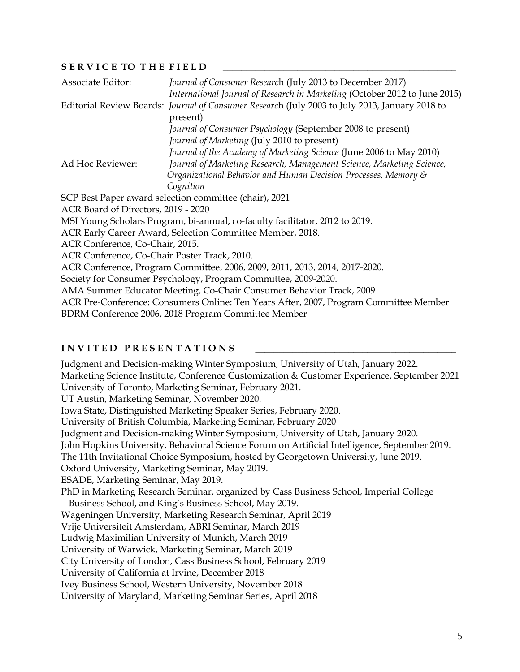#### SERVICE TO THE FIELD

| Associate Editor:                                                            | Journal of Consumer Research (July 2013 to December 2017)                                      |
|------------------------------------------------------------------------------|------------------------------------------------------------------------------------------------|
|                                                                              | International Journal of Research in Marketing (October 2012 to June 2015)                     |
|                                                                              | Editorial Review Boards: Journal of Consumer Research (July 2003 to July 2013, January 2018 to |
|                                                                              | present)                                                                                       |
|                                                                              | Journal of Consumer Psychology (September 2008 to present)                                     |
|                                                                              | Journal of Marketing (July 2010 to present)                                                    |
|                                                                              | Journal of the Academy of Marketing Science (June 2006 to May 2010)                            |
| Ad Hoc Reviewer:                                                             | Journal of Marketing Research, Management Science, Marketing Science,                          |
|                                                                              | Organizational Behavior and Human Decision Processes, Memory &                                 |
|                                                                              | Cognition                                                                                      |
|                                                                              | SCP Best Paper award selection committee (chair), 2021                                         |
| ACR Board of Directors, 2019 - 2020                                          |                                                                                                |
| MSI Young Scholars Program, bi-annual, co-faculty facilitator, 2012 to 2019. |                                                                                                |
| ACR Early Career Award, Selection Committee Member, 2018.                    |                                                                                                |
| ACR Conference, Co-Chair, 2015.                                              |                                                                                                |
| ACR Conference, Co-Chair Poster Track, 2010.                                 |                                                                                                |
|                                                                              | ACR Conference, Program Committee, 2006, 2009, 2011, 2013, 2014, 2017-2020.                    |
| Society for Consumer Psychology, Program Committee, 2009-2020.               |                                                                                                |
|                                                                              | AMA Summer Educator Meeting, Co-Chair Consumer Behavior Track, 2009                            |
|                                                                              | ACR Pre-Conference: Consumers Online: Ten Years After, 2007, Program Committee Member          |
|                                                                              | BDRM Conference 2006, 2018 Program Committee Member                                            |
|                                                                              |                                                                                                |

# **INVITED PRESENTATIONS**

Judgment and Decision-making Winter Symposium, University of Utah, January 2022. Marketing Science Institute, Conference Customization & Customer Experience, September 2021 University of Toronto, Marketing Seminar, February 2021. UT Austin, Marketing Seminar, November 2020. Iowa State, Distinguished Marketing Speaker Series, February 2020. University of British Columbia, Marketing Seminar, February 2020 Judgment and Decision-making Winter Symposium, University of Utah, January 2020. John Hopkins University, Behavioral Science Forum on Artificial Intelligence, September 2019. The 11th Invitational Choice Symposium, hosted by Georgetown University, June 2019. Oxford University, Marketing Seminar, May 2019. ESADE, Marketing Seminar, May 2019. PhD in Marketing Research Seminar, organized by Cass Business School, Imperial College Business School, and King's Business School, May 2019. Wageningen University, Marketing Research Seminar, April 2019 Vrije Universiteit Amsterdam, ABRI Seminar, March 2019 Ludwig Maximilian University of Munich, March 2019 University of Warwick, Marketing Seminar, March 2019 City University of London, Cass Business School, February 2019 University of California at Irvine, December 2018 Ivey Business School, Western University, November 2018 University of Maryland, Marketing Seminar Series, April 2018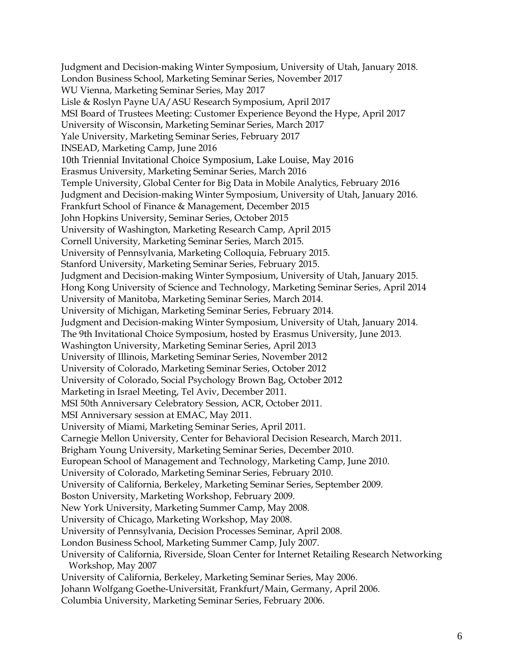Judgment and Decision-making Winter Symposium, University of Utah, January 2018. London Business School, Marketing Seminar Series, November 2017 WU Vienna, Marketing Seminar Series, May 2017 Lisle & Roslyn Payne UA/ASU Research Symposium, April 2017 MSI Board of Trustees Meeting: Customer Experience Beyond the Hype, April 2017 University of Wisconsin, Marketing Seminar Series, March 2017 Yale University, Marketing Seminar Series, February 2017 INSEAD, Marketing Camp, June 2016 10th Triennial Invitational Choice Symposium, Lake Louise, May 2016 Erasmus University, Marketing Seminar Series, March 2016 Temple University, Global Center for Big Data in Mobile Analytics, February 2016 Judgment and Decision-making Winter Symposium, University of Utah, January 2016. Frankfurt School of Finance & Management, December 2015 John Hopkins University, Seminar Series, October 2015 University of Washington, Marketing Research Camp, April 2015 Cornell University, Marketing Seminar Series, March 2015. University of Pennsylvania, Marketing Colloquia, February 2015. Stanford University, Marketing Seminar Series, February 2015. Judgment and Decision-making Winter Symposium, University of Utah, January 2015. Hong Kong University of Science and Technology, Marketing Seminar Series, April 2014 University of Manitoba, Marketing Seminar Series, March 2014. University of Michigan, Marketing Seminar Series, February 2014. Judgment and Decision-making Winter Symposium, University of Utah, January 2014. The 9th Invitational Choice Symposium, hosted by Erasmus University, June 2013. Washington University, Marketing Seminar Series, April 2013 University of Illinois, Marketing Seminar Series, November 2012 University of Colorado, Marketing Seminar Series, October 2012 University of Colorado, Social Psychology Brown Bag, October 2012 Marketing in Israel Meeting, Tel Aviv, December 2011. MSI 50th Anniversary Celebratory Session, ACR, October 2011. MSI Anniversary session at EMAC, May 2011. University of Miami, Marketing Seminar Series, April 2011. Carnegie Mellon University, Center for Behavioral Decision Research, March 2011. Brigham Young University, Marketing Seminar Series, December 2010. European School of Management and Technology, Marketing Camp, June 2010. University of Colorado, Marketing Seminar Series, February 2010. University of California, Berkeley, Marketing Seminar Series, September 2009. Boston University, Marketing Workshop, February 2009. New York University, Marketing Summer Camp, May 2008. University of Chicago, Marketing Workshop, May 2008. University of Pennsylvania, Decision Processes Seminar, April 2008. London Business School, Marketing Summer Camp, July 2007. University of California, Riverside, Sloan Center for Internet Retailing Research Networking Workshop, May 2007 University of California, Berkeley, Marketing Seminar Series, May 2006. Johann Wolfgang Goethe-Universität, Frankfurt/Main, Germany, April 2006. Columbia University, Marketing Seminar Series, February 2006.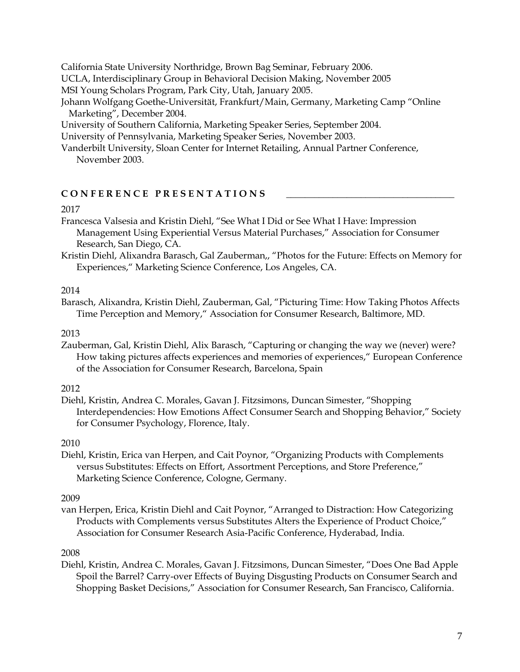California State University Northridge, Brown Bag Seminar, February 2006. UCLA, Interdisciplinary Group in Behavioral Decision Making, November 2005

MSI Young Scholars Program, Park City, Utah, January 2005.

Johann Wolfgang Goethe-Universität, Frankfurt/Main, Germany, Marketing Camp "Online Marketing", December 2004.

University of Southern California, Marketing Speaker Series, September 2004.

University of Pennsylvania, Marketing Speaker Series, November 2003.

Vanderbilt University, Sloan Center for Internet Retailing, Annual Partner Conference, November 2003.

# CONFERENCE PRESENTATIONS

#### 2017

- Francesca Valsesia and Kristin Diehl, "See What I Did or See What I Have: Impression Management Using Experiential Versus Material Purchases," Association for Consumer Research, San Diego, CA.
- Kristin Diehl, Alixandra Barasch, Gal Zauberman,, "Photos for the Future: Effects on Memory for Experiences," Marketing Science Conference, Los Angeles, CA.

# 2014

Barasch, Alixandra, Kristin Diehl, Zauberman, Gal, "Picturing Time: How Taking Photos Affects Time Perception and Memory," Association for Consumer Research, Baltimore, MD.

#### 2013

Zauberman, Gal, Kristin Diehl, Alix Barasch, "Capturing or changing the way we (never) were? How taking pictures affects experiences and memories of experiences," European Conference of the Association for Consumer Research, Barcelona, Spain

# 2012

Diehl, Kristin, Andrea C. Morales, Gavan J. Fitzsimons, Duncan Simester, "Shopping Interdependencies: How Emotions Affect Consumer Search and Shopping Behavior," Society for Consumer Psychology, Florence, Italy.

# 2010

Diehl, Kristin, Erica van Herpen, and Cait Poynor, "Organizing Products with Complements versus Substitutes: Effects on Effort, Assortment Perceptions, and Store Preference," Marketing Science Conference, Cologne, Germany.

# 2009

van Herpen, Erica, Kristin Diehl and Cait Poynor, "Arranged to Distraction: How Categorizing Products with Complements versus Substitutes Alters the Experience of Product Choice," Association for Consumer Research Asia-Pacific Conference, Hyderabad, India.

# 2008

Diehl, Kristin, Andrea C. Morales, Gavan J. Fitzsimons, Duncan Simester, "Does One Bad Apple Spoil the Barrel? Carry-over Effects of Buying Disgusting Products on Consumer Search and Shopping Basket Decisions," Association for Consumer Research, San Francisco, California.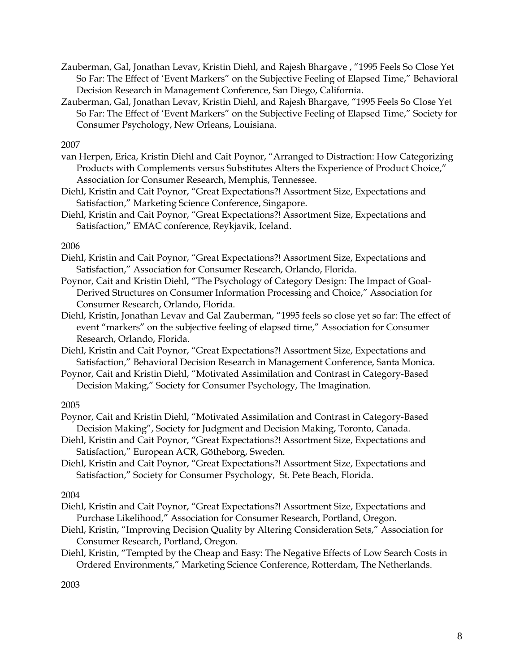- Zauberman, Gal, Jonathan Levav, Kristin Diehl, and Rajesh Bhargave , "1995 Feels So Close Yet So Far: The Effect of 'Event Markers" on the Subjective Feeling of Elapsed Time," Behavioral Decision Research in Management Conference, San Diego, California.
- Zauberman, Gal, Jonathan Levav, Kristin Diehl, and Rajesh Bhargave, "1995 Feels So Close Yet So Far: The Effect of 'Event Markers" on the Subjective Feeling of Elapsed Time," Society for Consumer Psychology, New Orleans, Louisiana.

2007

- van Herpen, Erica, Kristin Diehl and Cait Poynor, "Arranged to Distraction: How Categorizing Products with Complements versus Substitutes Alters the Experience of Product Choice," Association for Consumer Research, Memphis, Tennessee.
- Diehl, Kristin and Cait Poynor, "Great Expectations?! Assortment Size, Expectations and Satisfaction," Marketing Science Conference, Singapore.
- Diehl, Kristin and Cait Poynor, "Great Expectations?! Assortment Size, Expectations and Satisfaction," EMAC conference, Reykjavik, Iceland.

2006

- Diehl, Kristin and Cait Poynor, "Great Expectations?! Assortment Size, Expectations and Satisfaction," Association for Consumer Research, Orlando, Florida.
- Poynor, Cait and Kristin Diehl, "The Psychology of Category Design: The Impact of Goal-Derived Structures on Consumer Information Processing and Choice," Association for Consumer Research, Orlando, Florida.
- Diehl, Kristin, Jonathan Levav and Gal Zauberman, "1995 feels so close yet so far: The effect of event "markers" on the subjective feeling of elapsed time," Association for Consumer Research, Orlando, Florida.
- Diehl, Kristin and Cait Poynor, "Great Expectations?! Assortment Size, Expectations and Satisfaction," Behavioral Decision Research in Management Conference, Santa Monica.
- Poynor, Cait and Kristin Diehl, "Motivated Assimilation and Contrast in Category-Based Decision Making," Society for Consumer Psychology, The Imagination.

2005

- Poynor, Cait and Kristin Diehl, "Motivated Assimilation and Contrast in Category-Based Decision Making", Society for Judgment and Decision Making, Toronto, Canada.
- Diehl, Kristin and Cait Poynor, "Great Expectations?! Assortment Size, Expectations and Satisfaction," European ACR, Götheborg, Sweden.
- Diehl, Kristin and Cait Poynor, "Great Expectations?! Assortment Size, Expectations and Satisfaction," Society for Consumer Psychology, St. Pete Beach, Florida.

2004

- Diehl, Kristin and Cait Poynor, "Great Expectations?! Assortment Size, Expectations and Purchase Likelihood," Association for Consumer Research, Portland, Oregon.
- Diehl, Kristin, "Improving Decision Quality by Altering Consideration Sets," Association for Consumer Research, Portland, Oregon.
- Diehl, Kristin, "Tempted by the Cheap and Easy: The Negative Effects of Low Search Costs in Ordered Environments," Marketing Science Conference, Rotterdam, The Netherlands.

2003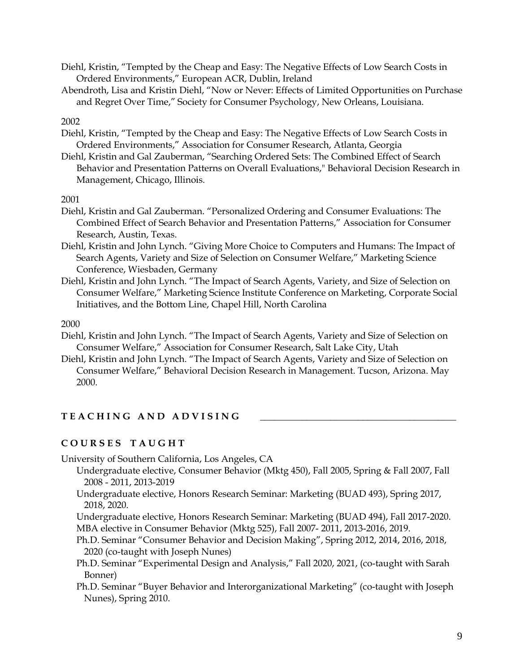- Diehl, Kristin, "Tempted by the Cheap and Easy: The Negative Effects of Low Search Costs in Ordered Environments," European ACR, Dublin, Ireland
- Abendroth, Lisa and Kristin Diehl, "Now or Never: Effects of Limited Opportunities on Purchase and Regret Over Time," Society for Consumer Psychology, New Orleans, Louisiana.

#### 2002

- Diehl, Kristin, "Tempted by the Cheap and Easy: The Negative Effects of Low Search Costs in Ordered Environments," Association for Consumer Research, Atlanta, Georgia
- Diehl, Kristin and Gal Zauberman, "Searching Ordered Sets: The Combined Effect of Search Behavior and Presentation Patterns on Overall Evaluations," Behavioral Decision Research in Management, Chicago, Illinois.

# 2001

- Diehl, Kristin and Gal Zauberman. "Personalized Ordering and Consumer Evaluations: The Combined Effect of Search Behavior and Presentation Patterns," Association for Consumer Research, Austin, Texas.
- Diehl, Kristin and John Lynch. "Giving More Choice to Computers and Humans: The Impact of Search Agents, Variety and Size of Selection on Consumer Welfare," Marketing Science Conference, Wiesbaden, Germany
- Diehl, Kristin and John Lynch. "The Impact of Search Agents, Variety, and Size of Selection on Consumer Welfare," Marketing Science Institute Conference on Marketing, Corporate Social Initiatives, and the Bottom Line, Chapel Hill, North Carolina

# 2000

- Diehl, Kristin and John Lynch. "The Impact of Search Agents, Variety and Size of Selection on Consumer Welfare," Association for Consumer Research, Salt Lake City, Utah
- Diehl, Kristin and John Lynch. "The Impact of Search Agents, Variety and Size of Selection on Consumer Welfare," Behavioral Decision Research in Management. Tucson, Arizona. May 2000.

# $T E A C H IN G A N D A D V ISING$

# **C O U R S E S T A U G H T**

University of Southern California, Los Angeles, CA

- Undergraduate elective, Consumer Behavior (Mktg 450), Fall 2005, Spring & Fall 2007, Fall 2008 - 2011, 2013-2019
- Undergraduate elective, Honors Research Seminar: Marketing (BUAD 493), Spring 2017, 2018, 2020.
- Undergraduate elective, Honors Research Seminar: Marketing (BUAD 494), Fall 2017-2020. MBA elective in Consumer Behavior (Mktg 525), Fall 2007- 2011, 2013-2016, 2019.
- Ph.D. Seminar "Consumer Behavior and Decision Making", Spring 2012, 2014, 2016, 2018, 2020 (co-taught with Joseph Nunes)
- Ph.D. Seminar "Experimental Design and Analysis," Fall 2020, 2021, (co-taught with Sarah Bonner)
- Ph.D. Seminar "Buyer Behavior and Interorganizational Marketing" (co-taught with Joseph Nunes), Spring 2010.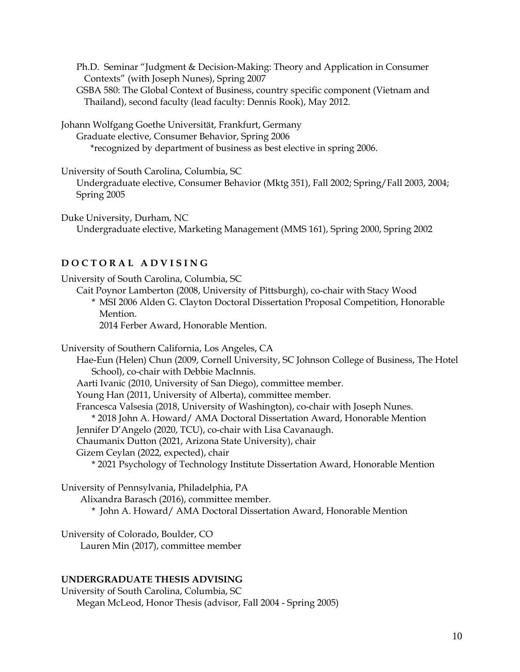Ph.D. Seminar "Judgment & Decision-Making: Theory and Application in Consumer Contexts" (with Joseph Nunes), Spring 2007

GSBA 580: The Global Context of Business, country specific component (Vietnam and Thailand), second faculty (lead faculty: Dennis Rook), May 2012.

Johann Wolfgang Goethe Universität, Frankfurt, Germany

Graduate elective, Consumer Behavior, Spring 2006

\*recognized by department of business as best elective in spring 2006.

University of South Carolina, Columbia, SC

Undergraduate elective, Consumer Behavior (Mktg 351), Fall 2002; Spring/Fall 2003, 2004; Spring 2005

Duke University, Durham, NC

Undergraduate elective, Marketing Management (MMS 161), Spring 2000, Spring 2002

# **D O C T O R A L A D V I S I N G**

University of South Carolina, Columbia, SC

Cait Poynor Lamberton (2008, University of Pittsburgh), co-chair with Stacy Wood

\* MSI 2006 Alden G. Clayton Doctoral Dissertation Proposal Competition, Honorable Mention.

2014 Ferber Award, Honorable Mention.

University of Southern California, Los Angeles, CA

Hae-Eun (Helen) Chun (2009, Cornell University, SC Johnson College of Business, The Hotel School), co-chair with Debbie MacInnis.

Aarti Ivanic (2010, University of San Diego), committee member.

Young Han (2011, University of Alberta), committee member.

Francesca Valsesia (2018, University of Washington), co-chair with Joseph Nunes.

\* 2018 John A. Howard/ AMA Doctoral Dissertation Award, Honorable Mention

Jennifer D'Angelo (2020, TCU), co-chair with Lisa Cavanaugh.

Chaumanix Dutton (2021, Arizona State University), chair

Gizem Ceylan (2022, expected), chair

\* 2021 Psychology of Technology Institute Dissertation Award, Honorable Mention

University of Pennsylvania, Philadelphia, PA

Alixandra Barasch (2016), committee member.

\* John A. Howard/ AMA Doctoral Dissertation Award, Honorable Mention

University of Colorado, Boulder, CO Lauren Min (2017), committee member

# **UNDERGRADUATE THESIS ADVISING**

University of South Carolina, Columbia, SC Megan McLeod, Honor Thesis (advisor, Fall 2004 - Spring 2005)